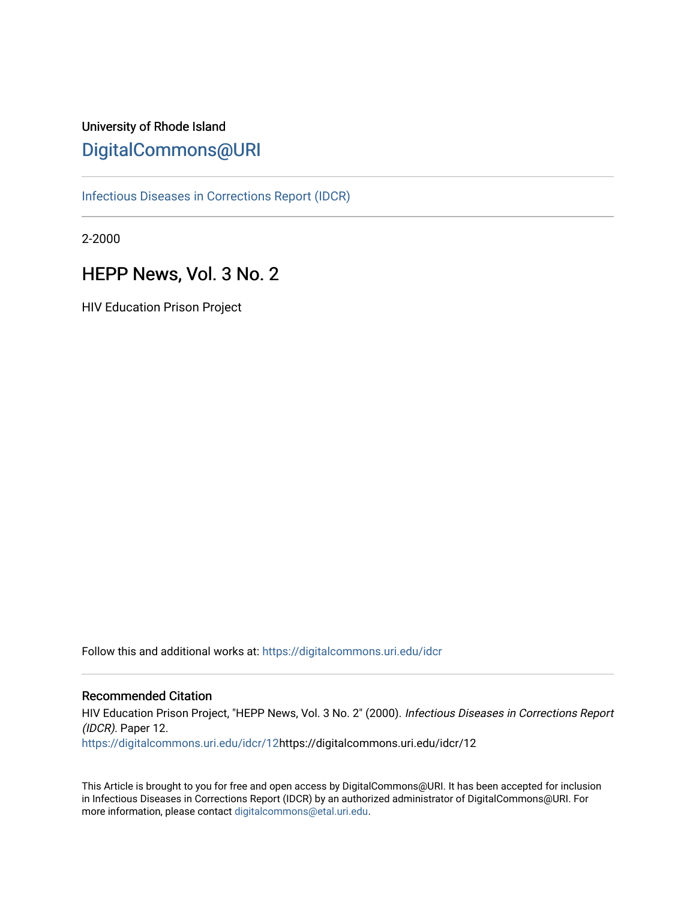# University of Rhode Island [DigitalCommons@URI](https://digitalcommons.uri.edu/)

[Infectious Diseases in Corrections Report \(IDCR\)](https://digitalcommons.uri.edu/idcr)

2-2000

# HEPP News, Vol. 3 No. 2

HIV Education Prison Project

Follow this and additional works at: [https://digitalcommons.uri.edu/idcr](https://digitalcommons.uri.edu/idcr?utm_source=digitalcommons.uri.edu%2Fidcr%2F12&utm_medium=PDF&utm_campaign=PDFCoverPages)

### Recommended Citation

HIV Education Prison Project, "HEPP News, Vol. 3 No. 2" (2000). Infectious Diseases in Corrections Report (IDCR). Paper 12. [https://digitalcommons.uri.edu/idcr/12h](https://digitalcommons.uri.edu/idcr/12?utm_source=digitalcommons.uri.edu%2Fidcr%2F12&utm_medium=PDF&utm_campaign=PDFCoverPages)ttps://digitalcommons.uri.edu/idcr/12

This Article is brought to you for free and open access by DigitalCommons@URI. It has been accepted for inclusion in Infectious Diseases in Corrections Report (IDCR) by an authorized administrator of DigitalCommons@URI. For more information, please contact [digitalcommons@etal.uri.edu.](mailto:digitalcommons@etal.uri.edu)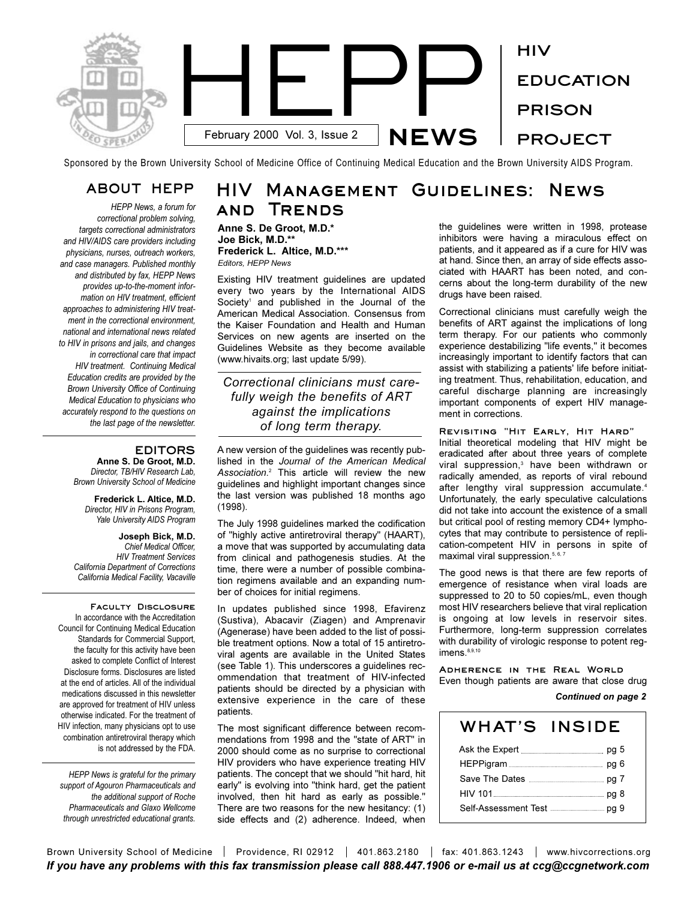

Sponsored by the Brown University School of Medicine Office of Continuing Medical Education and the Brown University AIDS Program.

### **ABOUT HEPP**

*HEPP News, a forum for correctional problem solving, targets correctional administrators and HIV/AIDS care providers including physicians, nurses, outreach workers, and case managers. Published monthly and distributed by fax, HEPP News provides up-to-the-moment information on HIV treatment, efficient approaches to administering HIV treatment in the correctional environment, national and international news related to HIV in prisons and jails, and changes in correctional care that impact HIV treatment. Continuing Medical Education credits are provided by the Brown University Office of Continuing Medical Education to physicians who accurately respond to the questions on the last page of the newsletter.* 

### **EDITORS**

**Anne S. De Groot, M.D.** *Director, TB/HIV Research Lab, Brown University School of Medicine*

**Frederick L. Altice, M.D.** *Director, HIV in Prisons Program, Yale University AIDS Program*

**Joseph Bick, M.D.** *Chief Medical Officer, HIV Treatment Services California Department of Corrections California Medical Facility, Vacaville*

**Faculty Disclosure**  In accordance with the Accreditation Council for Continuing Medical Education Standards for Commercial Support, the faculty for this activity have been asked to complete Conflict of Interest Disclosure forms. Disclosures are listed at the end of articles. All of the individual medications discussed in this newsletter are approved for treatment of HIV unless otherwise indicated. For the treatment of HIV infection, many physicians opt to use combination antiretroviral therapy which is not addressed by the FDA.

*HEPP News is grateful for the primary support of Agouron Pharmaceuticals and the additional support of Roche Pharmaceuticals and Glaxo Wellcome through unrestricted educational grants.*

# **HIV Management Guidelines: News and Trends**

**Anne S. De Groot, M.D.\* Joe Bick, M.D.\*\* Frederick L. Altice, M.D.\*\*\*** *Editors, HEPP News*

Existing HIV treatment guidelines are updated every two years by the International AIDS Society<sup>1</sup> and published in the Journal of the American Medical Association. Consensus from the Kaiser Foundation and Health and Human Services on new agents are inserted on the Guidelines Website as they become available (www.hivaits.org; last update 5/99).

*Correctional clinicians must carefully weigh the benefits of ART against the implications of long term therapy.*

A new version of the guidelines was recently published in the *Journal of the American Medical Association*. <sup>2</sup> This article will review the new guidelines and highlight important changes since the last version was published 18 months ago (1998).

The July 1998 guidelines marked the codification of "highly active antiretroviral therapy" (HAART), a move that was supported by accumulating data from clinical and pathogenesis studies. At the time, there were a number of possible combination regimens available and an expanding number of choices for initial regimens.

In updates published since 1998, Efavirenz (Sustiva), Abacavir (Ziagen) and Amprenavir (Agenerase) have been added to the list of possible treatment options. Now a total of 15 antiretroviral agents are available in the United States (see Table 1). This underscores a guidelines recommendation that treatment of HIV-infected patients should be directed by a physician with extensive experience in the care of these patients.

The most significant difference between recommendations from 1998 and the "state of ART" in 2000 should come as no surprise to correctional HIV providers who have experience treating HIV patients. The concept that we should "hit hard, hit early" is evolving into "think hard, get the patient involved, then hit hard as early as possible." There are two reasons for the new hesitancy: (1) side effects and (2) adherence. Indeed, when the guidelines were written in 1998, protease inhibitors were having a miraculous effect on patients, and it appeared as if a cure for HIV was at hand. Since then, an array of side effects associated with HAART has been noted, and concerns about the long-term durability of the new drugs have been raised.

Correctional clinicians must carefully weigh the benefits of ART against the implications of long term therapy. For our patients who commonly experience destabilizing "life events," it becomes increasingly important to identify factors that can assist with stabilizing a patients' life before initiating treatment. Thus, rehabilitation, education, and careful discharge planning are increasingly important components of expert HIV management in corrections.

**Revisiting "Hit Early, Hit Hard"** Initial theoretical modeling that HIV might be eradicated after about three years of complete viral suppression.<sup>3</sup> have been withdrawn or radically amended, as reports of viral rebound after lengthy viral suppression accumulate.<sup>4</sup> Unfortunately, the early speculative calculations did not take into account the existence of a small but critical pool of resting memory CD4+ lymphocytes that may contribute to persistence of replication-competent HIV in persons in spite of maximal viral suppression.<sup>5, 6, 7</sup>

The good news is that there are few reports of emergence of resistance when viral loads are suppressed to 20 to 50 copies/mL, even though most HIV researchers believe that viral replication is ongoing at low levels in reservoir sites. Furthermore, long-term suppression correlates with durability of virologic response to potent regimens. 8,9,10

**Adherence in the Real World** Even though patients are aware that close drug

#### *Continued on page 2*

| WHAT'S INSIDE |  |
|---------------|--|
|               |  |
|               |  |
|               |  |
|               |  |
|               |  |

Brown University School of Medicine | Providence, RI 02912 | 401.863.2180 | fax: 401.863.1243 | www.hivcorrections.org *If you have any problems with this fax transmission please call 888.447.1906 or e-mail us at ccg@ccgnetwork.com*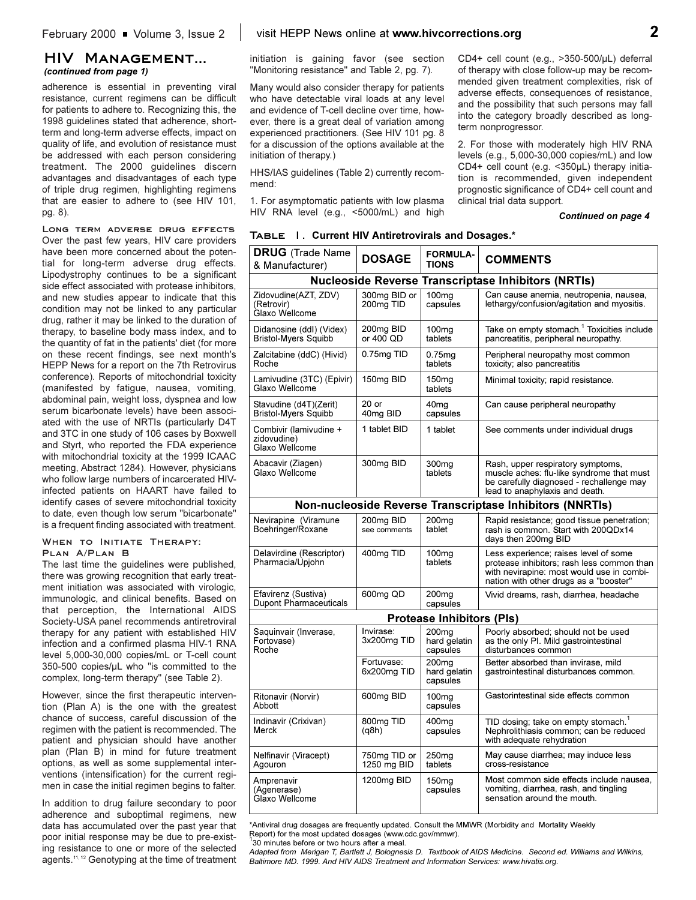### **HIV Management...**  *(continued from page 1)*

adherence is essential in preventing viral resistance, current regimens can be difficult for patients to adhere to. Recognizing this, the 1998 guidelines stated that adherence, shortterm and long-term adverse effects, impact on quality of life, and evolution of resistance must be addressed with each person considering treatment. The 2000 guidelines discern advantages and disadvantages of each type of triple drug regimen, highlighting regimens that are easier to adhere to (see HIV 101, pg. 8).

**Long term adverse drug effects** Over the past few years, HIV care providers have been more concerned about the potential for long-term adverse drug effects. Lipodystrophy continues to be a significant side effect associated with protease inhibitors, and new studies appear to indicate that this condition may not be linked to any particular drug, rather it may be linked to the duration of therapy, to baseline body mass index, and to the quantity of fat in the patients' diet (for more on these recent findings, see next month's HEPP News for a report on the 7th Retrovirus conference). Reports of mitochondrial toxicity (manifested by fatigue, nausea, vomiting, abdominal pain, weight loss, dyspnea and low serum bicarbonate levels) have been associated with the use of NRTIs (particularly D4T and 3TC in one study of 106 cases by Boxwell and Styrt, who reported the FDA experience with mitochondrial toxicity at the 1999 ICAAC meeting, Abstract 1284). However, physicians who follow large numbers of incarcerated HIVinfected patients on HAART have failed to identify cases of severe mitochondrial toxicity to date, even though low serum "bicarbonate" is a frequent finding associated with treatment.

### **When to Initiate Therapy: Plan A/Plan B**

The last time the guidelines were published, there was growing recognition that early treatment initiation was associated with virologic, immunologic, and clinical benefits. Based on that perception, the International AIDS Society-USA panel recommends antiretroviral therapy for any patient with established HIV infection and a confirmed plasma HIV-1 RNA level 5,000-30,000 copies/mL or T-cell count 350-500 copies/µL who "is committed to the complex, long-term therapy" (see Table 2).

However, since the first therapeutic intervention (Plan A) is the one with the greatest chance of success, careful discussion of the regimen with the patient is recommended. The patient and physician should have another plan (Plan B) in mind for future treatment options, as well as some supplemental interventions (intensification) for the current regimen in case the initial regimen begins to falter.

In addition to drug failure secondary to poor adherence and suboptimal regimens, new data has accumulated over the past year that poor initial response may be due to pre-existing resistance to one or more of the selected agents.<sup>11, 12</sup> Genotyping at the time of treatment

initiation is gaining favor (see section "Monitoring resistance" and Table 2, pg. 7).

Many would also consider therapy for patients who have detectable viral loads at any level and evidence of T-cell decline over time, however, there is a great deal of variation among experienced practitioners. (See HIV 101 pg. 8 for a discussion of the options available at the initiation of therapy.)

HHS/IAS guidelines (Table 2) currently recommend:

1. For asymptomatic patients with low plasma HIV RNA level (e.g., <5000/mL) and high

CD4+ cell count (e.g.,  $>350-500/\mu$ L) deferral of therapy with close follow-up may be recommended given treatment complexities, risk of adverse effects, consequences of resistance, and the possibility that such persons may fall into the category broadly described as longterm nonprogressor.

2. For those with moderately high HIV RNA levels (e.g., 5,000-30,000 copies/mL) and low CD4+ cell count (e.g. <350µL) therapy initiation is recommended, given independent prognostic significance of CD4+ cell count and clinical trial data support.

### *Continued on page 4*

| <b>DRUG</b> (Trade Name<br>& Manufacturer)                 | <b>DOSAGE</b>                         | <b>FORMULA-</b><br><b>TIONS</b>               | <b>COMMENTS</b>                                                                                                                                                            |  |  |
|------------------------------------------------------------|---------------------------------------|-----------------------------------------------|----------------------------------------------------------------------------------------------------------------------------------------------------------------------------|--|--|
| <b>Nucleoside Reverse Transcriptase Inhibitors (NRTIs)</b> |                                       |                                               |                                                                                                                                                                            |  |  |
| Zidovudine(AZT, ZDV)<br>(Retrovir)<br>Glaxo Wellcome       | 300mg BID or<br>200 <sub>mg</sub> TID | 100 <sub>ma</sub><br>capsules                 | Can cause anemia, neutropenia, nausea,<br>lethargy/confusion/agitation and myositis.                                                                                       |  |  |
| Didanosine (ddl) (Videx)<br><b>Bristol-Myers Squibb</b>    | 200mg BID<br>or 400 QD                | 100 <sub>mg</sub><br>tablets                  | Take on empty stomach. <sup>1</sup> Toxicities include<br>pancreatitis, peripheral neuropathy.                                                                             |  |  |
| Zalcitabine (ddC) (Hivid)<br>Roche                         | 0.75mg TID                            | 0.75mg<br>tablets                             | Peripheral neuropathy most common<br>toxicity; also pancreatitis                                                                                                           |  |  |
| Lamivudine (3TC) (Epivir)<br>Glaxo Wellcome                | 150mg BID                             | 150 <sub>mg</sub><br>tablets                  | Minimal toxicity; rapid resistance.                                                                                                                                        |  |  |
| Stavudine (d4T)(Zerit)<br><b>Bristol-Myers Squibb</b>      | $20$ or<br>40mg BID                   | 40mq<br>capsules                              | Can cause peripheral neuropathy                                                                                                                                            |  |  |
| Combivir (lamivudine +<br>zidovudine)<br>Glaxo Wellcome    | 1 tablet BID                          | 1 tablet                                      | See comments under individual drugs                                                                                                                                        |  |  |
| Abacavir (Ziagen)<br>Glaxo Wellcome                        | 300mg BID                             | 300 <sub>mq</sub><br>tablets                  | Rash, upper respiratory symptoms,<br>muscle aches: flu-like syndrome that must<br>be carefully diagnosed - rechallenge may<br>lead to anaphylaxis and death.               |  |  |
| Non-nucleoside Reverse Transcriptase Inhibitors (NNRTIs)   |                                       |                                               |                                                                                                                                                                            |  |  |
| Nevirapine (Viramune<br>Boehringer/Roxane                  | 200mg BID<br>see comments             | 200 <sub>mq</sub><br>tablet                   | Rapid resistance; good tissue penetration;<br>rash is common. Start with 200QDx14<br>days then 200mg BID                                                                   |  |  |
| Delavirdine (Rescriptor)<br>Pharmacia/Upjohn               | 400mg TID                             | 100 <sub>mg</sub><br>tablets                  | Less experience; raises level of some<br>protease inhibitors; rash less common than<br>with nevirapine: most would use in combi-<br>nation with other drugs as a "booster" |  |  |
| Efavirenz (Sustiva)<br><b>Dupont Pharmaceuticals</b>       | 600mg QD                              | 200 <sub>mg</sub><br>capsules                 | Vivid dreams, rash, diarrhea, headache                                                                                                                                     |  |  |
| <b>Protease Inhibitors (PIs)</b>                           |                                       |                                               |                                                                                                                                                                            |  |  |
| Saquinvair (Inverase,<br>Fortovase)<br>Roche               | Invirase:<br>3x200mg TID              | 200 <sub>mg</sub><br>hard gelatin<br>capsules | Poorly absorbed; should not be used<br>as the only PI. Mild gastrointestinal<br>disturbances common                                                                        |  |  |
|                                                            | Fortuvase:<br>6x200mg TID             | 200 <sub>mg</sub><br>hard gelatin<br>capsules | Better absorbed than invirase, mild<br>gastrointestinal disturbances common.                                                                                               |  |  |
| Ritonavir (Norvir)<br>Abbott                               | 600mg BID                             | 100 <sub>mq</sub><br>capsules                 | Gastorintestinal side effects common                                                                                                                                       |  |  |
| Indinavir (Crixivan)<br>Merck                              | 800mg TID<br>(q8h)                    | 400 <sub>mq</sub><br>capsules                 | TID dosing; take on empty stomach. <sup>1</sup><br>Nephrolithiasis common; can be reduced<br>with adequate rehydration                                                     |  |  |
| Nelfinavir (Viracept)<br>Agouron                           | 750mg TID or<br>1250 mg BID           | 250 <sub>mg</sub><br>tablets                  | May cause diarrhea; may induce less<br>cross-resistance                                                                                                                    |  |  |
| Amprenavir<br>(Agenerase)<br>Glaxo Wellcome                | 1200mg BID                            | 150 <sub>mg</sub><br>capsules                 | Most common side effects include nausea,<br>vomiting, diarrhea, rash, and tingling<br>sensation around the mouth.                                                          |  |  |

**Table 1. Current HIV Antiretrovirals and Dosages.\***

\*Antiviral drug dosages are frequently updated. Consult the MMWR (Morbidity and Mortality Weekly Report) for the most updated dosages (www.cdc.gov/mmwr).

30 minutes before or two hours after a meal.

*Adapted from Merigan T, Bartlett J, Bolognesis D. Textbook of AIDS Medicine. Second ed. Williams and Wilkins, Baltimore MD. 1999. And HIV AIDS Treatment and Information Services: www.hivatis.org.*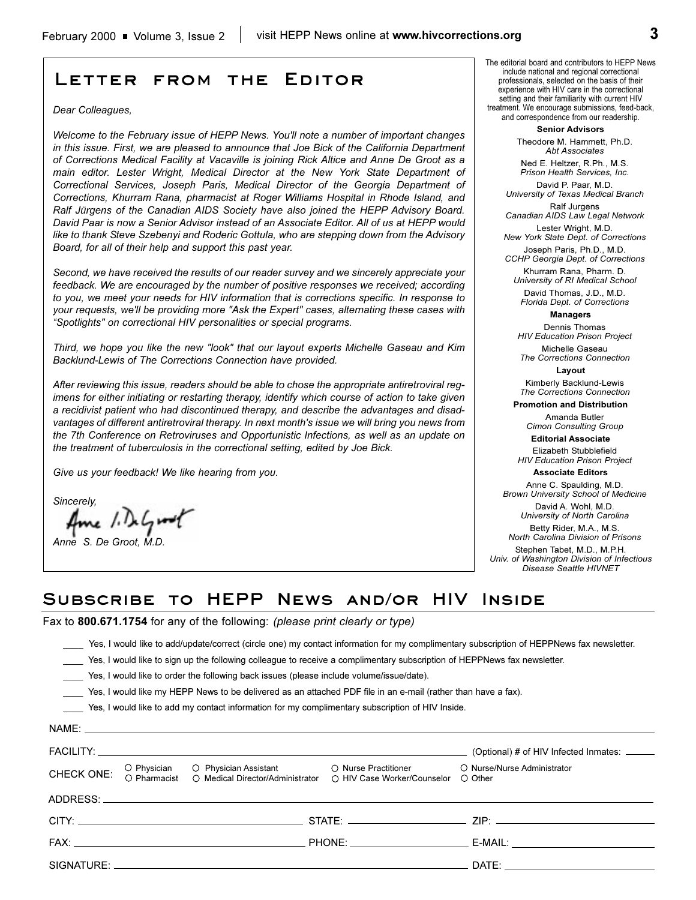## **Letter from the Editor**

### *Dear Colleagues,*

*Welcome to the February issue of HEPP News. You'll note a number of important changes in this issue. First, we are pleased to announce that Joe Bick of the California Department of Corrections Medical Facility at Vacaville is joining Rick Altice and Anne De Groot as a main editor. Lester Wright, Medical Director at the New York State Department of Correctional Services, Joseph Paris, Medical Director of the Georgia Department of Corrections, Khurram Rana, pharmacist at Roger Williams Hospital in Rhode Island, and Ralf Jürgens of the Canadian AIDS Society have also joined the HEPP Advisory Board. David Paar is now a Senior Advisor instead of an Associate Editor. All of us at HEPP would like to thank Steve Szebenyi and Roderic Gottula, who are stepping down from the Advisory Board, for all of their help and support this past year.*

*Second, we have received the results of our reader survey and we sincerely appreciate your feedback. We are encouraged by the number of positive responses we received; according to you, we meet your needs for HIV information that is corrections specific. In response to your requests, we'll be providing more "Ask the Expert" cases, alternating these cases with Spotlights" on correctional HIV personalities or special programs.*

*Third, we hope you like the new "look" that our layout experts Michelle Gaseau and Kim Backlund-Lewis of The Corrections Connection have provided.* 

*After reviewing this issue, readers should be able to chose the appropriate antiretroviral regimens for either initiating or restarting therapy, identify which course of action to take given a recidivist patient who had discontinued therapy, and describe the advantages and disadvantages of different antiretroviral therapy. In next month's issue we will bring you news from the 7th Conference on Retroviruses and Opportunistic Infections, as well as an update on the treatment of tuberculosis in the correctional setting, edited by Joe Bick.*

*Give us your feedback! We like hearing from you.*

*Sincerely,*

*Anne S. De Groot, M.D.*

The editorial board and contributors to HEPP News include national and regional correctional professionals, selected on the basis of their experience with HIV care in the correctional setting and their familiarity with current HIV treatment. We encourage submissions, feed-back, and correspondence from our readership.

> **Senior Advisors** Theodore M. Hammett, Ph.D.

*Abt Associates* Ned E. Heltzer, R.Ph., M.S.

*Prison Health Services, Inc.* David P. Paar, M.D.

*University of Texas Medical Branch* Ralf Jurgens

*Canadian AIDS Law Legal Network* Lester Wright, M.D.

*New York State Dept. of Corrections*

Joseph Paris, Ph.D., M.D. *CCHP Georgia Dept. of Corrections* 

Khurram Rana, Pharm. D. *University of RI Medical School*

David Thomas, J.D., M.D. *Florida Dept. of Corrections*

### **Managers**

Dennis Thomas *HIV Education Prison Project*

Michelle Gaseau *The Corrections Connection*

**Layout** Kimberly Backlund-Lewis *The Corrections Connection*

**Promotion and Distribution**

Amanda Butler *Cimon Consulting Group*

**Editorial Associate** 

Elizabeth Stubblefield *HIV Education Prison Project*

**Associate Editors**

Anne C. Spaulding, M.D. *Brown University School of Medicine* David A. Wohl, M.D. *University of North Carolina*

Betty Rider, M.A., M.S. *North Carolina Division of Prisons*

Stephen Tabet, M.D., M.P.H. *Univ. of Washington Division of Infectious Disease Seattle HIVNET*

### **Subscribe to HEPP News and/or HIV Inside**

Fax to **800.671.1754** for any of the following: *(please print clearly or type)*

\_\_\_\_ Yes, I would like to add/update/correct (circle one) my contact information for my complimentary subscription of HEPPNews fax newsletter.

Yes, I would like to sign up the following colleague to receive a complimentary subscription of HEPPNews fax newsletter.

\_\_\_\_ Yes, I would like to order the following back issues (please include volume/issue/date).

\_\_\_\_ Yes, I would like my HEPP News to be delivered as an attached PDF file in an e-mail (rather than have a fax).

\_\_\_\_ Yes, I would like to add my contact information for my complimentary subscription of HIV Inside.

|  |                                                                                                                                                           | (Optional) # of HIV Infected Inmates: ______                                                                                                                                                                                   |  |
|--|-----------------------------------------------------------------------------------------------------------------------------------------------------------|--------------------------------------------------------------------------------------------------------------------------------------------------------------------------------------------------------------------------------|--|
|  | CHECK ONE: O Physician O Physician Assistant O Nurse Practitioner<br>CHECK ONE: O Pharmacist O Medical Director/Administrator O HIV Case Worker/Counselor | O Nurse/Nurse Administrator<br>◯ Other                                                                                                                                                                                         |  |
|  |                                                                                                                                                           |                                                                                                                                                                                                                                |  |
|  |                                                                                                                                                           |                                                                                                                                                                                                                                |  |
|  |                                                                                                                                                           | E-MAIL: __________________________________                                                                                                                                                                                     |  |
|  |                                                                                                                                                           | DATE: the contract of the contract of the contract of the contract of the contract of the contract of the contract of the contract of the contract of the contract of the contract of the contract of the contract of the cont |  |
|  |                                                                                                                                                           |                                                                                                                                                                                                                                |  |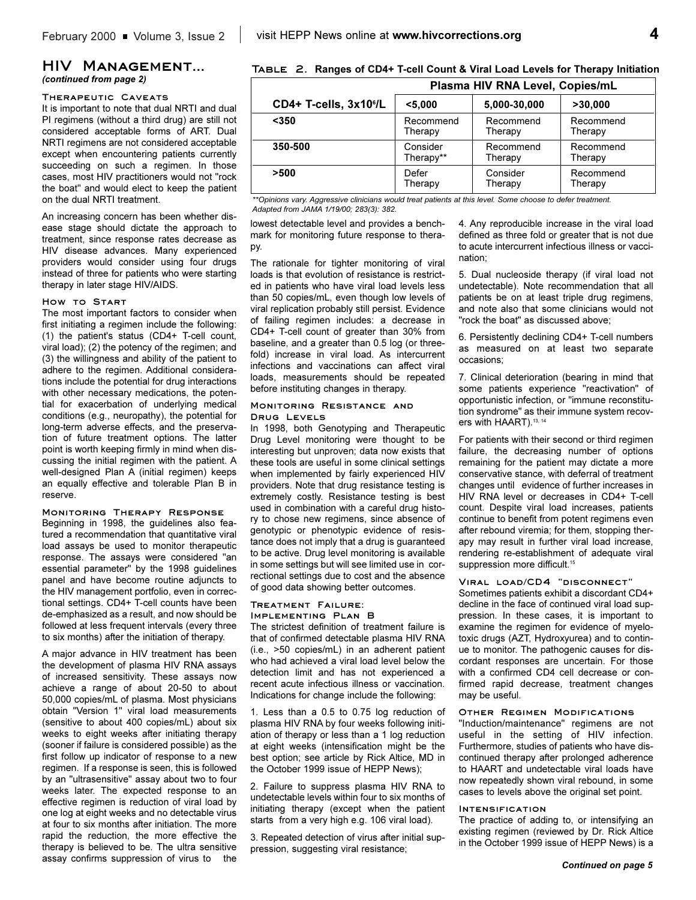### **HIV Management...**  *(continued from page 2)*

#### **Therapeutic Caveats**

It is important to note that dual NRTI and dual PI regimens (without a third drug) are still not considered acceptable forms of ART. Dual NRTI regimens are not considered acceptable except when encountering patients currently succeeding on such a regimen. In those cases, most HIV practitioners would not "rock the boat" and would elect to keep the patient on the dual NRTI treatment.

An increasing concern has been whether disease stage should dictate the approach to treatment, since response rates decrease as HIV disease advances. Many experienced providers would consider using four drugs instead of three for patients who were starting therapy in later stage HIV/AIDS.

### **How to Start**

The most important factors to consider when first initiating a regimen include the following: (1) the patient's status (CD4+ T-cell count, viral load); (2) the potency of the regimen; and (3) the willingness and ability of the patient to adhere to the regimen. Additional considerations include the potential for drug interactions with other necessary medications, the potential for exacerbation of underlying medical conditions (e.g., neuropathy), the potential for long-term adverse effects, and the preservation of future treatment options. The latter point is worth keeping firmly in mind when discussing the initial regimen with the patient. A well-designed Plan A (initial regimen) keeps an equally effective and tolerable Plan B in reserve.

### **Monitoring Therapy Response**

Beginning in 1998, the guidelines also featured a recommendation that quantitative viral load assays be used to monitor therapeutic response. The assays were considered "an essential parameter" by the 1998 guidelines panel and have become routine adjuncts to the HIV management portfolio, even in correctional settings. CD4+ T-cell counts have been de-emphasized as a result, and now should be followed at less frequent intervals (every three to six months) after the initiation of therapy.

A major advance in HIV treatment has been the development of plasma HIV RNA assays of increased sensitivity. These assays now achieve a range of about 20-50 to about 50,000 copies/mL of plasma. Most physicians obtain "Version 1" viral load measurements (sensitive to about 400 copies/mL) about six weeks to eight weeks after initiating therapy (sooner if failure is considered possible) as the first follow up indicator of response to a new regimen. If a response is seen, this is followed by an "ultrasensitive" assay about two to four weeks later. The expected response to an effective regimen is reduction of viral load by one log at eight weeks and no detectable virus at four to six months after initiation. The more rapid the reduction, the more effective the therapy is believed to be. The ultra sensitive assay confirms suppression of virus to the

**Table 2. Ranges of CD4+ T-cell Count & Viral Load Levels for Therapy Initiation**

|                                    | Plasma HIV RNA Level, Copies/mL |              |           |
|------------------------------------|---------------------------------|--------------|-----------|
| CD4+ T-cells, 3x10 <sup>6</sup> /L | $5.000$                         | 5,000-30,000 | >30,000   |
| $350$                              | Recommend                       | Recommend    | Recommend |
|                                    | Therapy                         | Therapy      | Therapy   |
| 350-500                            | Consider                        | Recommend    | Recommend |
|                                    | Therapy**                       | Therapy      | Therapy   |
| >500                               | Defer                           | Consider     | Recommend |
|                                    | Therapy                         | Therapy      | Therapy   |

*\*\*Opinions vary. Aggressive clinicians would treat patients at this level. Some choose to defer treatment. Adapted from JAMA 1/19/00; 283(3): 382.*

lowest detectable level and provides a benchmark for monitoring future response to therapy.

The rationale for tighter monitoring of viral loads is that evolution of resistance is restricted in patients who have viral load levels less than 50 copies/mL, even though low levels of viral replication probably still persist. Evidence of failing regimen includes: a decrease in CD4+ T-cell count of greater than 30% from baseline, and a greater than 0.5 log (or threefold) increase in viral load. As intercurrent infections and vaccinations can affect viral loads, measurements should be repeated before instituting changes in therapy.

### **Monitoring Resistance and Drug Levels**

In 1998, both Genotyping and Therapeutic Drug Level monitoring were thought to be interesting but unproven; data now exists that these tools are useful in some clinical settings when implemented by fairly experienced HIV providers. Note that drug resistance testing is extremely costly. Resistance testing is best used in combination with a careful drug history to chose new regimens, since absence of genotypic or phenotypic evidence of resistance does not imply that a drug is guaranteed to be active. Drug level monitoring is available in some settings but will see limited use in correctional settings due to cost and the absence of good data showing better outcomes.

#### **Treatment Failure: Implementing Plan B**

The strictest definition of treatment failure is that of confirmed detectable plasma HIV RNA (i.e., >50 copies/mL) in an adherent patient who had achieved a viral load level below the detection limit and has not experienced a recent acute infectious illness or vaccination. Indications for change include the following:

1. Less than a 0.5 to 0.75 log reduction of plasma HIV RNA by four weeks following initiation of therapy or less than a 1 log reduction at eight weeks (intensification might be the best option; see article by Rick Altice, MD in the October 1999 issue of HEPP News);

2. Failure to suppress plasma HIV RNA to undetectable levels within four to six months of initiating therapy (except when the patient starts from a very high e.g. 106 viral load).

3. Repeated detection of virus after initial suppression, suggesting viral resistance;

4. Any reproducible increase in the viral load defined as three fold or greater that is not due to acute intercurrent infectious illness or vaccination;

5. Dual nucleoside therapy (if viral load not undetectable). Note recommendation that all patients be on at least triple drug regimens, and note also that some clinicians would not "rock the boat" as discussed above;

6. Persistently declining CD4+ T-cell numbers as measured on at least two separate occasions;

7. Clinical deterioration (bearing in mind that some patients experience "reactivation" of opportunistic infection, or "immune reconstitution syndrome" as their immune system recovers with HAART).<sup>13, 14</sup>

For patients with their second or third regimen failure, the decreasing number of options remaining for the patient may dictate a more conservative stance, with deferral of treatment changes until evidence of further increases in HIV RNA level or decreases in CD4+ T-cell count. Despite viral load increases, patients continue to benefit from potent regimens even after rebound viremia; for them, stopping therapy may result in further viral load increase, rendering re-establishment of adequate viral suppression more difficult.<sup>15</sup>

### **Viral load/CD4 "disconnect"**

Sometimes patients exhibit a discordant CD4+ decline in the face of continued viral load suppression. In these cases, it is important to examine the regimen for evidence of myelotoxic drugs (AZT, Hydroxyurea) and to continue to monitor. The pathogenic causes for discordant responses are uncertain. For those with a confirmed CD4 cell decrease or confirmed rapid decrease, treatment changes may be useful.

#### **Other Regimen Modifications**

"Induction/maintenance" regimens are not useful in the setting of HIV infection. Furthermore, studies of patients who have discontinued therapy after prolonged adherence to HAART and undetectable viral loads have now repeatedly shown viral rebound, in some cases to levels above the original set point.

#### **Intensification**

The practice of adding to, or intensifying an existing regimen (reviewed by Dr. Rick Altice in the October 1999 issue of HEPP News) is a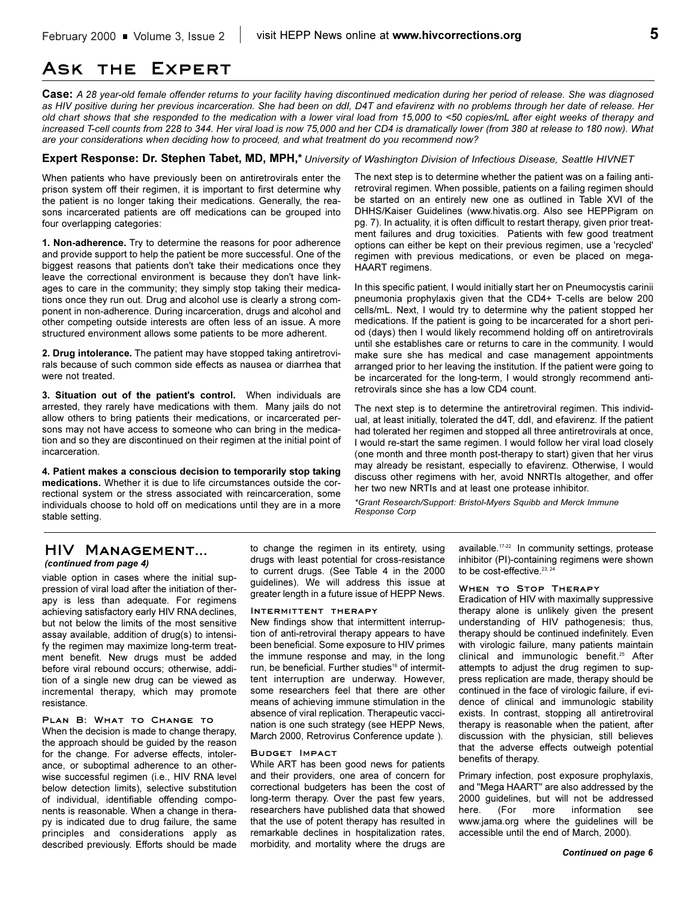### **Ask the Expert**

**Case:** *A 28 year-old female offender returns to your facility having discontinued medication during her period of release. She was diagnosed as HIV positive during her previous incarceration. She had been on ddI, D4T and efavirenz with no problems through her date of release. Her old chart shows that she responded to the medication with a lower viral load from 15,000 to <50 copies/mL after eight weeks of therapy and increased T-cell counts from 228 to 344. Her viral load is now 75,000 and her CD4 is dramatically lower (from 380 at release to 180 now). What are your considerations when deciding how to proceed, and what treatment do you recommend now?*

### **Expert Response: Dr. Stephen Tabet, MD, MPH,\*** *University of Washington Division of Infectious Disease, Seattle HIVNET*

When patients who have previously been on antiretrovirals enter the prison system off their regimen, it is important to first determine why the patient is no longer taking their medications. Generally, the reasons incarcerated patients are off medications can be grouped into four overlapping categories:

**1. Non-adherence.** Try to determine the reasons for poor adherence and provide support to help the patient be more successful. One of the biggest reasons that patients don't take their medications once they leave the correctional environment is because they don't have linkages to care in the community; they simply stop taking their medications once they run out. Drug and alcohol use is clearly a strong component in non-adherence. During incarceration, drugs and alcohol and other competing outside interests are often less of an issue. A more structured environment allows some patients to be more adherent.

**2. Drug intolerance.** The patient may have stopped taking antiretrovirals because of such common side effects as nausea or diarrhea that were not treated.

**3. Situation out of the patient's control.** When individuals are arrested, they rarely have medications with them. Many jails do not allow others to bring patients their medications, or incarcerated persons may not have access to someone who can bring in the medication and so they are discontinued on their regimen at the initial point of incarceration.

**4. Patient makes a conscious decision to temporarily stop taking medications.** Whether it is due to life circumstances outside the correctional system or the stress associated with reincarceration, some individuals choose to hold off on medications until they are in a more stable setting.

The next step is to determine whether the patient was on a failing antiretroviral regimen. When possible, patients on a failing regimen should be started on an entirely new one as outlined in Table XVI of the DHHS/Kaiser Guidelines (www.hivatis.org. Also see HEPPigram on pg. 7). In actuality, it is often difficult to restart therapy, given prior treatment failures and drug toxicities. Patients with few good treatment options can either be kept on their previous regimen, use a 'recycled' regimen with previous medications, or even be placed on mega-HAART regimens.

In this specific patient, I would initially start her on Pneumocystis carinii pneumonia prophylaxis given that the CD4+ T-cells are below 200 cells/mL. Next, I would try to determine why the patient stopped her medications. If the patient is going to be incarcerated for a short period (days) then I would likely recommend holding off on antiretrovirals until she establishes care or returns to care in the community. I would make sure she has medical and case management appointments arranged prior to her leaving the institution. If the patient were going to be incarcerated for the long-term, I would strongly recommend antiretrovirals since she has a low CD4 count.

The next step is to determine the antiretroviral regimen. This individual, at least initially, tolerated the d4T, ddI, and efavirenz. If the patient had tolerated her regimen and stopped all three antiretrovirals at once, I would re-start the same regimen. I would follow her viral load closely (one month and three month post-therapy to start) given that her virus may already be resistant, especially to efavirenz. Otherwise, I would discuss other regimens with her, avoid NNRTIs altogether, and offer her two new NRTIs and at least one protease inhibitor.

*\*Grant Research/Support: Bristol-Myers Squibb and Merck Immune Response Corp* 

### **HIV Management...**  *(continued from page 4)*

viable option in cases where the initial suppression of viral load after the initiation of therapy is less than adequate. For regimens achieving satisfactory early HIV RNA declines, but not below the limits of the most sensitive assay available, addition of drug(s) to intensify the regimen may maximize long-term treatment benefit. New drugs must be added before viral rebound occurs; otherwise, addition of a single new drug can be viewed as incremental therapy, which may promote resistance.

### **Plan B: What to Change to**

When the decision is made to change therapy, the approach should be guided by the reason for the change. For adverse effects, intolerance, or suboptimal adherence to an otherwise successful regimen (i.e., HIV RNA level below detection limits), selective substitution of individual, identifiable offending components is reasonable. When a change in therapy is indicated due to drug failure, the same principles and considerations apply as described previously. Efforts should be made

to change the regimen in its entirety, using drugs with least potential for cross-resistance to current drugs. (See Table 4 in the 2000 guidelines). We will address this issue at greater length in a future issue of HEPP News.

### **Intermittent therapy**

New findings show that intermittent interruption of anti-retroviral therapy appears to have been beneficial. Some exposure to HIV primes the immune response and may, in the long run, be beneficial. Further studies<sup>16</sup> of intermittent interruption are underway. However, some researchers feel that there are other means of achieving immune stimulation in the absence of viral replication. Therapeutic vaccination is one such strategy (see HEPP News, March 2000, Retrovirus Conference update ).

### **Budget Impact**

While ART has been good news for patients and their providers, one area of concern for correctional budgeters has been the cost of long-term therapy. Over the past few years, researchers have published data that showed that the use of potent therapy has resulted in remarkable declines in hospitalization rates, morbidity, and mortality where the drugs are

available.17-22 In community settings, protease inhibitor (PI)-containing regimens were shown to be cost-effective.<sup>23, 2</sup>

### **When to Stop Therapy**

Eradication of HIV with maximally suppressive therapy alone is unlikely given the present understanding of HIV pathogenesis; thus, therapy should be continued indefinitely. Even with virologic failure, many patients maintain clinical and immunologic benefit.25 After attempts to adjust the drug regimen to suppress replication are made, therapy should be continued in the face of virologic failure, if evidence of clinical and immunologic stability exists. In contrast, stopping all antiretroviral therapy is reasonable when the patient, after discussion with the physician, still believes that the adverse effects outweigh potential benefits of therapy.

Primary infection, post exposure prophylaxis, and "Mega HAART" are also addressed by the 2000 guidelines, but will not be addressed here. (For more information see www.jama.org where the guidelines will be accessible until the end of March, 2000).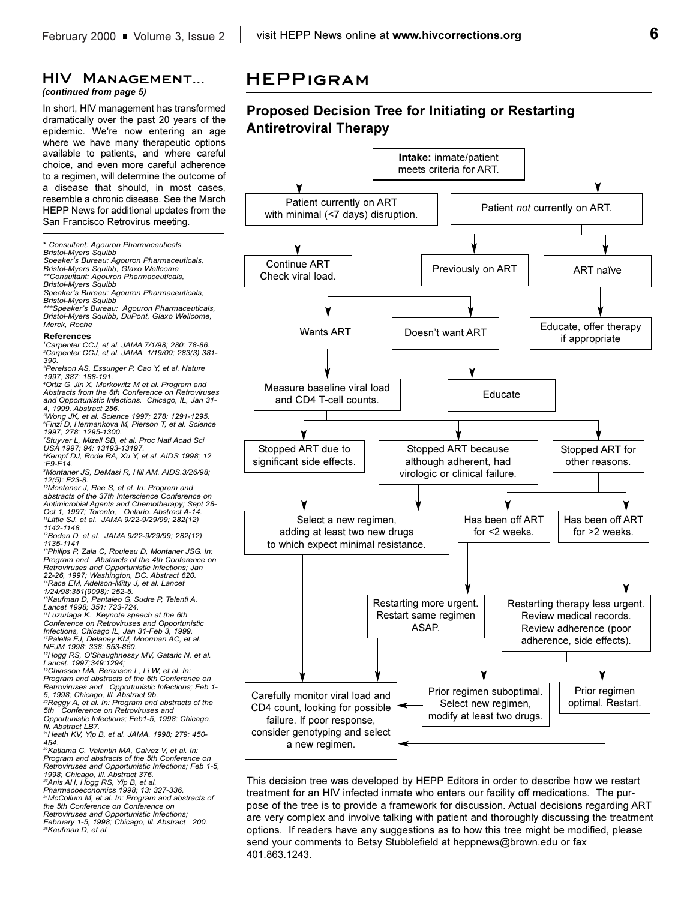### **HIV Management...**

*(continued from page 5)*

In short, HIV management has transformed dramatically over the past 20 years of the epidemic. We're now entering an age where we have many therapeutic options available to patients, and where careful choice, and even more careful adherence to a regimen, will determine the outcome of a disease that should, in most cases, resemble a chronic disease. See the March HEPP News for additional updates from the San Francisco Retrovirus meeting.

\* *Consultant: Agouron Pharmaceuticals,* 

*Bristol-Myers Squibb*

*Speakers Bureau: Agouron Pharmaceuticals, Bristol-Myers Squibb, Glaxo Wellcome*

*\*\*Consultant: Agouron Pharmaceuticals,* 

*Bristol-Myers Squibb*

Speaker's Bureau: Agouron Pharmaceuticals,

*Bristol-Myers Squibb*

*\*\*\*Speakers Bureau: Agouron Pharmaceuticals, Bristol-Myers Squibb, DuPont, Glaxo Wellcome, Merck, Roche*

#### **References**

*1 Carpenter CCJ, et al. JAMA 7/1/98; 280: 78-86. 2 Carpenter CCJ, et al. JAMA, 1/19/00; 283(3) 381- 390.*

*3 Perelson AS, Essunger P, Cao Y, et al. Nature 1997; 387: 188-191.*

*4 Ortiz G, Jin X, Markowitz M et al. Program and Abstracts from the 6th Conference on Retroviruses and Opportunistic Infections. Chicago, IL, Jan 31- 4, 1999. Abstract 256.*

*5 Wong JK, et al. Science 1997; 278: 1291-1295. 6 Finzi D, Hermankova M, Pierson T, et al. Science 1997; 278: 1295-1300.* 

*7 Stuyver L, Mizell SB, et al. Proc Natl Acad Sci USA 1997; 94: 13193-13197.*

*8 Kempf DJ, Rode RA, Xu Y, et al. AIDS 1998; 12 :F9-F14.* 

*9 Montaner JS, DeMasi R, Hill AM. AIDS.3/26/98; 12(5): F23-8.* 

*10Montaner J, Rae S, et al. In: Program and abstracts of the 37th Interscience Conference on Antimicrobial Agents and Chemotherapy; Sept 28-*

*Oct 1, 1997; Toronto, Ontario. Abstract A-14. 11Little SJ, et al. JAMA 9/22-9/29/99; 282(12) 1142-1148.*

*12Boden D, et al. JAMA 9/22-9/29/99; 282(12) 1135-1141*

*13Philips P, Zala C, Rouleau D, Montaner JSG. In: Program and Abstracts of the 4th Conference on Retroviruses and Opportunistic Infections; Jan 22-26, 1997; Washington, DC. Abstract 620.* 

*14Race EM, Adelson-Mitty J, et al. Lancet 1/24/98;351(9098): 252-5.*

*15Kaufman D, Pantaleo G, Sudre P, Telenti A. Lancet 1998; 351: 723-724. 16Luzuriaga K. Keynote speech at the 6th*

*Conference on Retroviruses and Opportunistic*

*Infections, Chicago IL, Jan 31-Feb 3, 1999. 17Palella FJ, Delaney KM, Moorman AC, et al. NEJM 1998; 338: 853-860.* 

*18Hogg RS, O'Shaughnessy MV, Gataric N, et al. Lancet. 1997;349:1294;*

*19Chiasson MA, Berenson L, Li W, et al. In: Program and abstracts of the 5th Conference on Retroviruses and Opportunistic Infections; Feb 1-*

*5, 1998; Chicago, Ill. Abstract 9b. 20Reggy A, et al. In: Program and abstracts of the 5th Conference on Retroviruses and*

*Opportunistic Infections; Feb1-5, 1998; Chicago,*

*Ill. Abstract LB7. 21Heath KV, Yip B, et al. JAMA. 1998; 279: 450- 454.*

*22Katlama C, Valantin MA, Calvez V, et al. In: Program and abstracts of the 5th Conference on Retroviruses and Opportunistic Infections; Feb 1-5, 1998; Chicago, Ill. Abstract 376.*

*23Anis AH, Hogg RS, Yip B, et al. Pharmacoeconomics 1998; 13: 327-336.* 

*24McCollum M, et al. In: Program and abstracts of the 5th Conference on Conference on*

*Retroviruses and Opportunistic Infections; February 1-5, 1998; Chicago, Ill. Abstract 200. 25Kaufman D, et al.*

### **HEPPigram**

### **Proposed Decision Tree for Initiating or Restarting Antiretroviral Therapy**



This decision tree was developed by HEPP Editors in order to describe how we restart treatment for an HIV infected inmate who enters our facility off medications. The purpose of the tree is to provide a framework for discussion. Actual decisions regarding ART are very complex and involve talking with patient and thoroughly discussing the treatment options. If readers have any suggestions as to how this tree might be modified, please send your comments to Betsy Stubblefield at heppnews@brown.edu or fax 401.863.1243.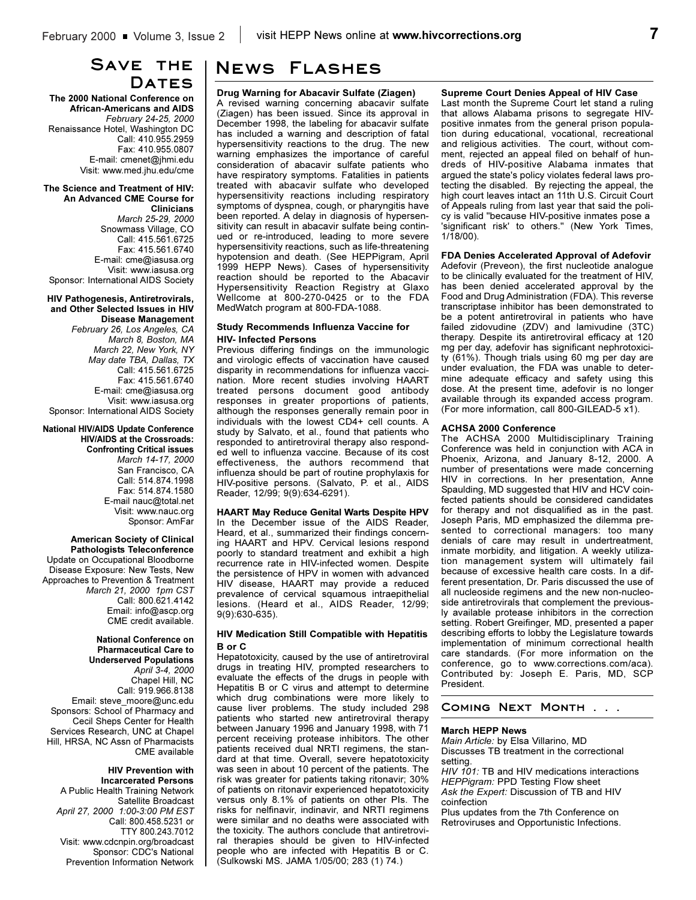### **Save the Dates**

**The 2000 National Conference on African-Americans and AIDS** *February 24-25, 2000* Renaissance Hotel, Washington DC Call: 410.955.2959 Fax: 410.955.0807 E-mail: cmenet@jhmi.edu Visit: www.med.jhu.edu/cme

**The Science and Treatment of HIV: An Advanced CME Course for Clinicians** *March 25-29, 2000* Snowmass Village, CO Call: 415.561.6725 Fax: 415.561.6740 E-mail: cme@iasusa.org Visit: www.iasusa.org Sponsor: International AIDS Society

#### **HIV Pathogenesis, Antiretrovirals, and Other Selected Issues in HIV Disease Management**

*February 26, Los Angeles, CA March 8, Boston, MA March 22, New York, NY May date TBA, Dallas, TX* Call: 415.561.6725 Fax: 415.561.6740 E-mail: cme@iasusa.org Visit: www.iasusa.org Sponsor: International AIDS Society

**National HIV/AIDS Update Conference HIV/AIDS at the Crossroads: Confronting Critical issues** *March 14-17, 2000* San Francisco, CA Call: 514.874.1998

Fax: 514.874.1580 E-mail nauc@total.net Visit: www.nauc.org Sponsor: AmFar

**American Society of Clinical Pathologists Teleconference** Update on Occupational Bloodborne Disease Exposure: New Tests, New Approaches to Prevention & Treatment *March 21, 2000 1pm CST* Call: 800.621.4142 Email: info@ascp.org CME credit available.

#### **National Conference on Pharmaceutical Care to Underserved Populations** *April 3-4, 2000* Chapel Hill, NC Call: 919.966.8138 Email: steve\_moore@unc.edu Sponsors: School of Pharmacy and Cecil Sheps Center for Health Services Research, UNC at Chapel Hill, HRSA, NC Assn of Pharmacists CME available

### **HIV Prevention with**

**Incarcerated Persons** A Public Health Training Network Satellite Broadcast *April 27, 2000 1:00-3:00 PM EST* Call: 800.458.5231 or TTY 800.243.7012 Visit: www.cdcnpin.org/broadcast Sponsor: CDC's National Prevention Information Network

### **News Flashes**

### **Drug Warning for Abacavir Sulfate (Ziagen)**

A revised warning concerning abacavir sulfate (Ziagen) has been issued. Since its approval in December 1998, the labeling for abacavir sulfate has included a warning and description of fatal hypersensitivity reactions to the drug. The new warning emphasizes the importance of careful consideration of abacavir sulfate patients who have respiratory symptoms. Fatalities in patients treated with abacavir sulfate who developed hypersensitivity reactions including respiratory symptoms of dyspnea, cough, or pharyngitis have been reported. A delay in diagnosis of hypersensitivity can result in abacavir sulfate being continued or re-introduced, leading to more severe hypersensitivity reactions, such as life-threatening hypotension and death. (See HEPPigram, April 1999 HEPP News). Cases of hypersensitivity reaction should be reported to the Abacavir Hypersensitivity Reaction Registry at Glaxo Wellcome at 800-270-0425 or to the FDA MedWatch program at 800-FDA-1088.

### **Study Recommends Influenza Vaccine for HIV- Infected Persons**

Previous differing findings on the immunologic and virologic effects of vaccination have caused disparity in recommendations for influenza vaccination. More recent studies involving HAART treated persons document good antibody responses in greater proportions of patients, although the responses generally remain poor in individuals with the lowest CD4+ cell counts. A study by Salvato, et al., found that patients who responded to antiretroviral therapy also responded well to influenza vaccine. Because of its cost effectiveness, the authors recommend that influenza should be part of routine prophylaxis for HIV-positive persons. (Salvato, P. et al., AIDS Reader, 12/99; 9(9):634-6291).

### **HAART May Reduce Genital Warts Despite HPV**

In the December issue of the AIDS Reader, Heard, et al., summarized their findings concerning HAART and HPV. Cervical lesions respond poorly to standard treatment and exhibit a high recurrence rate in HIV-infected women. Despite the persistence of HPV in women with advanced HIV disease, HAART may provide a reduced prevalence of cervical squamous intraepithelial lesions. (Heard et al., AIDS Reader, 12/99; 9(9):630-635).

### **HIV Medication Still Compatible with Hepatitis B or C**

Hepatotoxicity, caused by the use of antiretroviral drugs in treating HIV, prompted researchers to evaluate the effects of the drugs in people with Hepatitis B or C virus and attempt to determine which drug combinations were more likely to cause liver problems. The study included 298 patients who started new antiretroviral therapy between January 1996 and January 1998, with 71 percent receiving protease inhibitors. The other patients received dual NRTI regimens, the standard at that time. Overall, severe hepatotoxicity was seen in about 10 percent of the patients. The risk was greater for patients taking ritonavir; 30% of patients on ritonavir experienced hepatotoxicity versus only 8.1% of patients on other PIs. The risks for nelfinavir, indinavir, and NRTI regimens were similar and no deaths were associated with the toxicity. The authors conclude that antiretroviral therapies should be given to HIV-infected people who are infected with Hepatitis B or C. (Sulkowski MS. JAMA 1/05/00; 283 (1) 74.)

### **Supreme Court Denies Appeal of HIV Case**

Last month the Supreme Court let stand a ruling that allows Alabama prisons to segregate HIVpositive inmates from the general prison population during educational, vocational, recreational and religious activities. The court, without comment, rejected an appeal filed on behalf of hundreds of HIV-positive Alabama inmates that argued the state's policy violates federal laws protecting the disabled. By rejecting the appeal, the high court leaves intact an 11th U.S. Circuit Court of Appeals ruling from last year that said the policy is valid "because HIV-positive inmates pose a 'significant risk' to others." (New York Times, 1/18/00).

### **FDA Denies Accelerated Approval of Adefovir**

Adefovir (Preveon), the first nucleotide analogue to be clinically evaluated for the treatment of HIV, has been denied accelerated approval by the Food and Drug Administration (FDA). This reverse transcriptase inhibitor has been demonstrated to be a potent antiretroviral in patients who have failed zidovudine (ZDV) and lamivudine (3TC) therapy. Despite its antiretroviral efficacy at 120 mg per day, adefovir has significant nephrotoxicity (61%). Though trials using 60 mg per day are under evaluation, the FDA was unable to determine adequate efficacy and safety using this dose. At the present time, adefovir is no longer available through its expanded access program. (For more information, call 800-GILEAD-5 x1).

#### **ACHSA 2000 Conference**

The ACHSA 2000 Multidisciplinary Training Conference was held in conjunction with ACA in Phoenix, Arizona, and January 8-12, 2000. A number of presentations were made concerning HIV in corrections. In her presentation, Anne Spaulding, MD suggested that HIV and HCV coinfected patients should be considered candidates for therapy and not disqualified as in the past. Joseph Paris, MD emphasized the dilemma presented to correctional managers: too many denials of care may result in undertreatment, inmate morbidity, and litigation. A weekly utilization management system will ultimately fail because of excessive health care costs. In a different presentation, Dr. Paris discussed the use of all nucleoside regimens and the new non-nucleoside antiretrovirals that complement the previously available protease inhibitors in the correction setting. Robert Greifinger, MD, presented a paper describing efforts to lobby the Legislature towards implementation of minimum correctional health care standards. (For more information on the conference, go to www.corrections.com/aca). Contributed by: Joseph E. Paris, MD, SCP President.

### **Coming Next Month . . .**

### **March HEPP News**

*Main Article:* by Elsa Villarino, MD Discusses TB treatment in the correctional setting.

*HIV 101:* TB and HIV medications interactions *HEPPigram:* PPD Testing Flow sheet *Ask the Expert:* Discussion of TB and HIV coinfection

Plus updates from the 7th Conference on Retroviruses and Opportunistic Infections.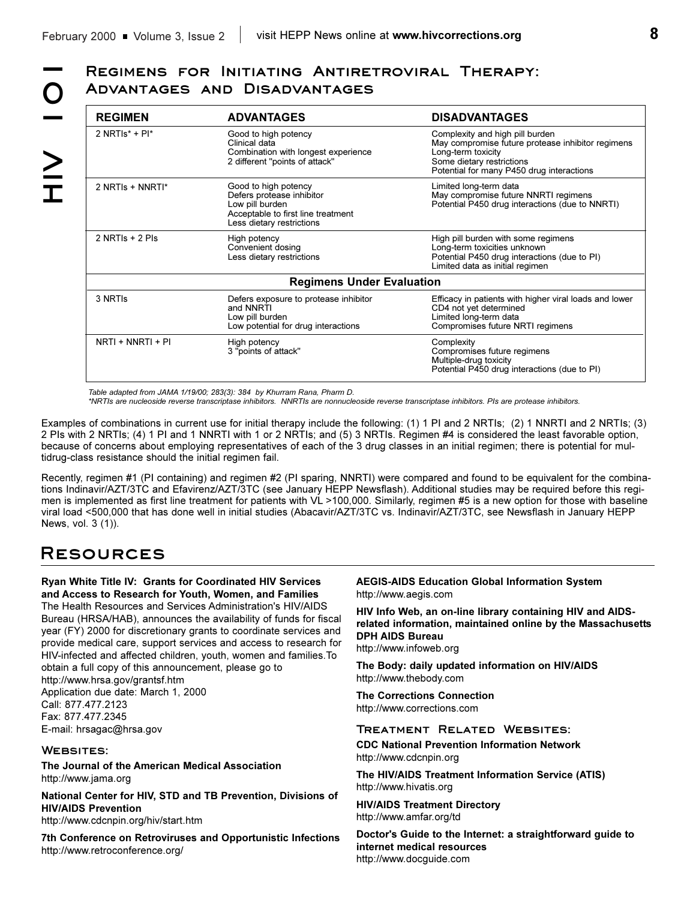# **Advantages and Disadvantages**

| <b>REGIMEN</b>                             | <b>ADVANTAGES</b>                                                                                                                       | <b>DISADVANTAGES</b>                                                                                                                                                                 |  |
|--------------------------------------------|-----------------------------------------------------------------------------------------------------------------------------------------|--------------------------------------------------------------------------------------------------------------------------------------------------------------------------------------|--|
| 2 NRTIs <sup><math>*</math></sup> + PI $*$ | Good to high potency<br>Clinical data<br>Combination with longest experience<br>2 different "points of attack"                          | Complexity and high pill burden<br>May compromise future protease inhibitor regimens<br>Long-term toxicity<br>Some dietary restrictions<br>Potential for many P450 drug interactions |  |
| 2 NRTIs + NNRTI*                           | Good to high potency<br>Defers protease inhibitor<br>Low pill burden<br>Acceptable to first line treatment<br>Less dietary restrictions | Limited long-term data<br>May compromise future NNRTI regimens<br>Potential P450 drug interactions (due to NNRTI)                                                                    |  |
| $2$ NRTIs + $2$ Pls                        | High potency<br>Convenient dosing<br>Less dietary restrictions                                                                          | High pill burden with some regimens<br>Long-term toxicities unknown<br>Potential P450 drug interactions (due to PI)<br>Limited data as initial regimen                               |  |
|                                            | <b>Regimens Under Evaluation</b>                                                                                                        |                                                                                                                                                                                      |  |
| 3 NRTIS                                    | Defers exposure to protease inhibitor<br>and NNRTI<br>Low pill burden<br>Low potential for drug interactions                            | Efficacy in patients with higher viral loads and lower<br>CD4 not yet determined<br>Limited long-term data<br>Compromises future NRTI regimens                                       |  |
| NRTI + NNRTI + PI                          | High potency<br>3 "points of attack"                                                                                                    | Complexity<br>Compromises future regimens<br>Multiple-drug toxicity<br>Potential P450 drug interactions (due to PI)                                                                  |  |

*Table adapted from JAMA 1/19/00; 283(3): 384 by Khurram Rana, Pharm D.*

*\*NRTIs are nucleoside reverse transcriptase inhibitors. NNRTIs are nonnucleoside reverse transcriptase inhibitors. PIs are protease inhibitors.*

Examples of combinations in current use for initial therapy include the following: (1) 1 PI and 2 NRTIs; (2) 1 NNRTI and 2 NRTIs; (3) 2 PIs with 2 NRTIs; (4) 1 PI and 1 NNRTI with 1 or 2 NRTIs; and (5) 3 NRTIs. Regimen #4 is considered the least favorable option, because of concerns about employing representatives of each of the 3 drug classes in an initial regimen; there is potential for multidrug-class resistance should the initial regimen fail.

Recently, regimen #1 (PI containing) and regimen #2 (PI sparing, NNRTI) were compared and found to be equivalent for the combinations Indinavir/AZT/3TC and Efavirenz/AZT/3TC (see January HEPP Newsflash). Additional studies may be required before this regimen is implemented as first line treatment for patients with VL >100,000. Similarly, regimen #5 is a new option for those with baseline viral load <500,000 that has done well in initial studies (Abacavir/AZT/3TC vs. Indinavir/AZT/3TC, see Newsflash in January HEPP News, vol. 3 (1)).

# **Resources**

**Ryan White Title IV: Grants for Coordinated HIV Services and Access to Research for Youth, Women, and Families** The Health Resources and Services Administration's HIV/AIDS Bureau (HRSA/HAB), announces the availability of funds for fiscal year (FY) 2000 for discretionary grants to coordinate services and provide medical care, support services and access to research for HIV-infected and affected children, youth, women and families.To obtain a full copy of this announcement, please go to http://www.hrsa.gov/grantsf.htm Application due date: March 1, 2000 Call: 877.477.2123 Fax: 877.477.2345 E-mail: hrsagac@hrsa.gov

### **Websites:**

**The Journal of the American Medical Association** http://www.jama.org

**National Center for HIV, STD and TB Prevention, Divisions of HIV/AIDS Prevention**

http://www.cdcnpin.org/hiv/start.htm

**7th Conference on Retroviruses and Opportunistic Infections** http://www.retroconference.org/

**AEGIS-AIDS Education Global Information System** http://www.aegis.com

**HIV Info Web, an on-line library containing HIV and AIDSrelated information, maintained online by the Massachusetts DPH AIDS Bureau**

http://www.infoweb.org

**The Body: daily updated information on HIV/AIDS** http://www.thebody.com

**The Corrections Connection** http://www.corrections.com

### **Treatment Related Websites:**

**CDC National Prevention Information Network** http://www.cdcnpin.org

**The HIV/AIDS Treatment Information Service (ATIS)** http://www.hivatis.org

**HIV/AIDS Treatment Directory**  http://www.amfar.org/td

**Doctor's Guide to the Internet: a straightforward guide to internet medical resources** http://www.docguide.com